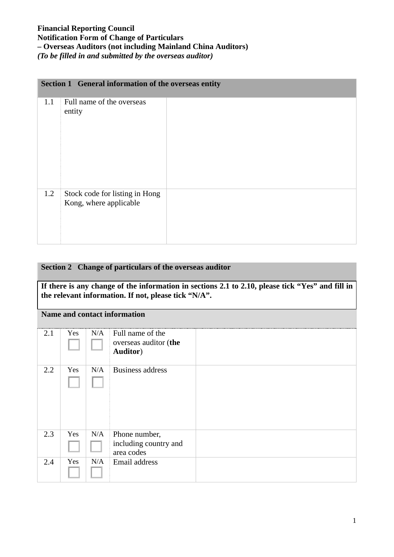## **Financial Reporting Council Notification Form of Change of Particulars – Overseas Auditors (not including Mainland China Auditors)** *(To be filled in and submitted by the overseas auditor)*

# **Section 1 General information of the overseas entity** 1.1 Full name of the overseas entity 1.2 Stock code for listing in Hong Kong, where applicable

## **Section 2 Change of particulars of the overseas auditor**

**If there is any change of the information in sections 2.1 to 2.10, please tick "Yes" and fill in the relevant information. If not, please tick "N/A".** 

## **Name and contact information**

| 2.1 | Yes | N/A | Full name of the<br>overseas auditor (the<br><b>Auditor</b> ) |  |
|-----|-----|-----|---------------------------------------------------------------|--|
| 2.2 | Yes | N/A | <b>Business address</b>                                       |  |
| 2.3 | Yes | N/A | Phone number,<br>including country and<br>area codes          |  |
| 2.4 | Yes | N/A | Email address                                                 |  |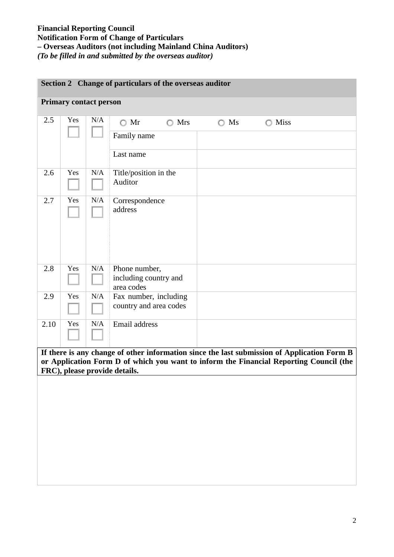### **Financial Reporting Council Notification Form of Change of Particulars – Overseas Auditors (not including Mainland China Auditors)** *(To be filled in and submitted by the overseas auditor)*

| Section 2 Change of particulars of the overseas auditor |     |           |                                                      |               |                                                                                                                                                                                       |  |  |  |
|---------------------------------------------------------|-----|-----------|------------------------------------------------------|---------------|---------------------------------------------------------------------------------------------------------------------------------------------------------------------------------------|--|--|--|
| <b>Primary contact person</b>                           |     |           |                                                      |               |                                                                                                                                                                                       |  |  |  |
| 2.5                                                     | Yes | N/A       | $\bigcirc$ Mr<br>$\bigcirc$ Mrs                      | $\bigcirc$ Ms | $\bigcirc$ Miss                                                                                                                                                                       |  |  |  |
|                                                         |     |           | Family name                                          |               |                                                                                                                                                                                       |  |  |  |
|                                                         |     |           | Last name                                            |               |                                                                                                                                                                                       |  |  |  |
| 2.6                                                     | Yes | N/A       | Title/position in the<br>Auditor                     |               |                                                                                                                                                                                       |  |  |  |
| 2.7                                                     | Yes | $\rm N/A$ | Correspondence<br>address                            |               |                                                                                                                                                                                       |  |  |  |
| 2.8                                                     | Yes | N/A       | Phone number,<br>including country and<br>area codes |               |                                                                                                                                                                                       |  |  |  |
| 2.9                                                     | Yes | N/A       | Fax number, including<br>country and area codes      |               |                                                                                                                                                                                       |  |  |  |
| 2.10                                                    | Yes | N/A       | Email address                                        |               |                                                                                                                                                                                       |  |  |  |
|                                                         |     |           | FRC), please provide details.                        |               | If there is any change of other information since the last submission of Application Form B<br>or Application Form D of which you want to inform the Financial Reporting Council (the |  |  |  |
|                                                         |     |           |                                                      |               |                                                                                                                                                                                       |  |  |  |